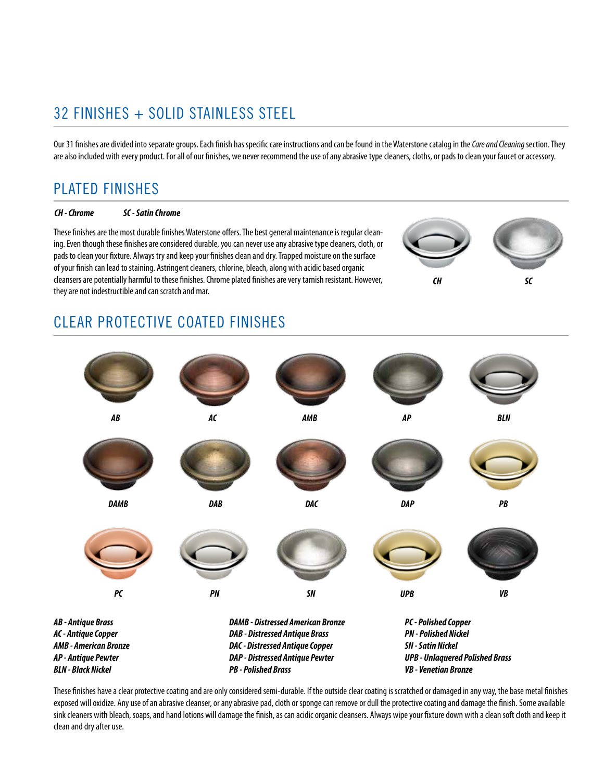# 32 FINISHES + SOLID STAINLESS STEEL

Our 31 finishes are divided into separate groups. Each finish has specific care instructions and can be found in the Waterstone catalog in the *Care and Cleaning* section. They are also included with every product. For all of our finishes, we never recommend the use of any abrasive type cleaners, cloths, or pads to clean your faucet or accessory.

## PLATED FINISHES

### *CH - Chrome SC - Satin Chrome*

These finishes are the most durable finishes Waterstone offers. The best general maintenance is regular cleaning. Even though these finishes are considered durable, you can never use any abrasive type cleaners, cloth, or pads to clean your fixture. Always try and keep your finishes clean and dry. Trapped moisture on the surface of your finish can lead to staining. Astringent cleaners, chlorine, bleach, along with acidic based organic cleansers are potentially harmful to these finishes. Chrome plated finishes are very tarnish resistant. However, they are not indestructible and can scratch and mar.



# CLEAR PROTECTIVE COATED FINISHES



These finishes have a clear protective coating and are only considered semi-durable. If the outside clear coating is scratched or damaged in any way, the base metal finishes exposed will oxidize. Any use of an abrasive cleanser, or any abrasive pad, cloth or sponge can remove or dull the protective coating and damage the finish. Some available sink cleaners with bleach, soaps, and hand lotions will damage the finish, as can acidic organic cleansers. Always wipe your fixture down with a clean soft cloth and keep it clean and dry after use.